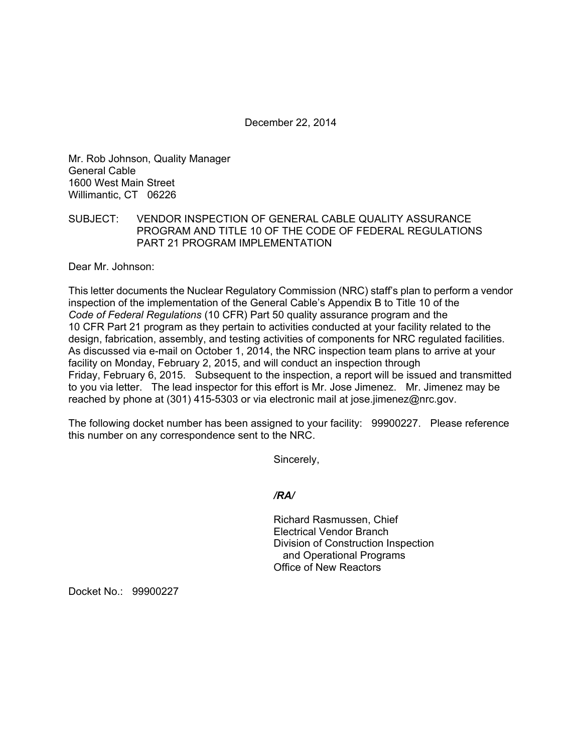December 22, 2014

Mr. Rob Johnson, Quality Manager General Cable 1600 West Main Street Willimantic, CT 06226

## SUBJECT: VENDOR INSPECTION OF GENERAL CABLE QUALITY ASSURANCE PROGRAM AND TITLE 10 OF THE CODE OF FEDERAL REGULATIONS PART 21 PROGRAM IMPLEMENTATION

Dear Mr. Johnson:

This letter documents the Nuclear Regulatory Commission (NRC) staff's plan to perform a vendor inspection of the implementation of the General Cable's Appendix B to Title 10 of the *Code of Federal Regulations* (10 CFR) Part 50 quality assurance program and the 10 CFR Part 21 program as they pertain to activities conducted at your facility related to the design, fabrication, assembly, and testing activities of components for NRC regulated facilities. As discussed via e-mail on October 1, 2014, the NRC inspection team plans to arrive at your facility on Monday, February 2, 2015, and will conduct an inspection through Friday, February 6, 2015. Subsequent to the inspection, a report will be issued and transmitted to you via letter. The lead inspector for this effort is Mr. Jose Jimenez. Mr. Jimenez may be reached by phone at (301) 415-5303 or via electronic mail at jose.jimenez@nrc.gov.

The following docket number has been assigned to your facility: 99900227. Please reference this number on any correspondence sent to the NRC.

Sincerely,

*/RA/* 

Richard Rasmussen, Chief Electrical Vendor Branch Division of Construction Inspection and Operational Programs Office of New Reactors

Docket No.: 99900227